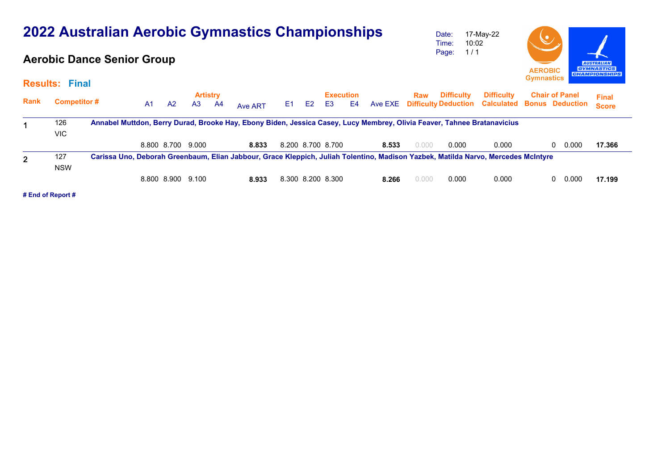| 2022 Australian Aerobic Gymnastics Championships |                       |                                   |                |                |                |                       |         |                                                                                  |                |                   |                                    |         | Date:<br>Time: | 17-May-22<br>10:02                               | $\bm{\mathcal{S}}$                                                                                                                |                                                 |   |       |                              |
|--------------------------------------------------|-----------------------|-----------------------------------|----------------|----------------|----------------|-----------------------|---------|----------------------------------------------------------------------------------|----------------|-------------------|------------------------------------|---------|----------------|--------------------------------------------------|-----------------------------------------------------------------------------------------------------------------------------------|-------------------------------------------------|---|-------|------------------------------|
|                                                  |                       | <b>Aerobic Dance Senior Group</b> |                |                | 1/1<br>Page:   |                       |         | <b>AUSTRALIAN</b><br><b>GYMNASTICS</b><br><b>AEROBIC</b><br><b>CHAMPIONSHIPS</b> |                |                   |                                    |         |                |                                                  |                                                                                                                                   |                                                 |   |       |                              |
|                                                  | <b>Results: Final</b> |                                   |                |                |                |                       |         |                                                                                  |                |                   |                                    |         |                |                                                  |                                                                                                                                   | <b>Gymnastics</b>                               |   |       |                              |
| <b>Rank</b>                                      | <b>Competitor#</b>    |                                   | A <sub>1</sub> | A <sup>2</sup> | A <sub>3</sub> | <b>Artistry</b><br>A4 | Ave ART | E <sub>1</sub>                                                                   | E <sub>2</sub> | E <sub>3</sub>    | <b>Execution</b><br>E <sub>4</sub> | Ave EXE | Raw            | <b>Difficulty</b><br><b>Difficulty Deduction</b> | <b>Difficulty</b><br><b>Calculated</b>                                                                                            | <b>Chair of Panel</b><br><b>Bonus Deduction</b> |   |       | <b>Final</b><br><b>Score</b> |
|                                                  | 126<br>VIC.           |                                   |                |                |                |                       |         |                                                                                  |                |                   |                                    |         |                |                                                  | Annabel Muttdon, Berry Durad, Brooke Hay, Ebony Biden, Jessica Casey, Lucy Membrey, Olivia Feaver, Tahnee Bratanavicius           |                                                 |   |       |                              |
|                                                  |                       |                                   |                | 8.800 8.700    | 9.000          |                       | 8.833   |                                                                                  |                | 8.200 8.700 8.700 |                                    | 8.533   | 0.000          | 0.000                                            | 0.000                                                                                                                             |                                                 | 0 | 0.000 | 17.366                       |
| $\overline{2}$                                   | 127<br><b>NSW</b>     |                                   |                |                |                |                       |         |                                                                                  |                |                   |                                    |         |                |                                                  | Carissa Uno, Deborah Greenbaum, Elian Jabbour, Grace Kleppich, Juliah Tolentino, Madison Yazbek, Matilda Narvo, Mercedes McIntyre |                                                 |   |       |                              |
|                                                  |                       |                                   |                | 8.800 8.900    | 9.100          |                       | 8.933   |                                                                                  |                | 8.300 8.200 8.300 |                                    | 8.266   | 0.000          | 0.000                                            | 0.000                                                                                                                             |                                                 | 0 | 0.000 | 17.199                       |

 $\sim$ 

**# End of Report #**